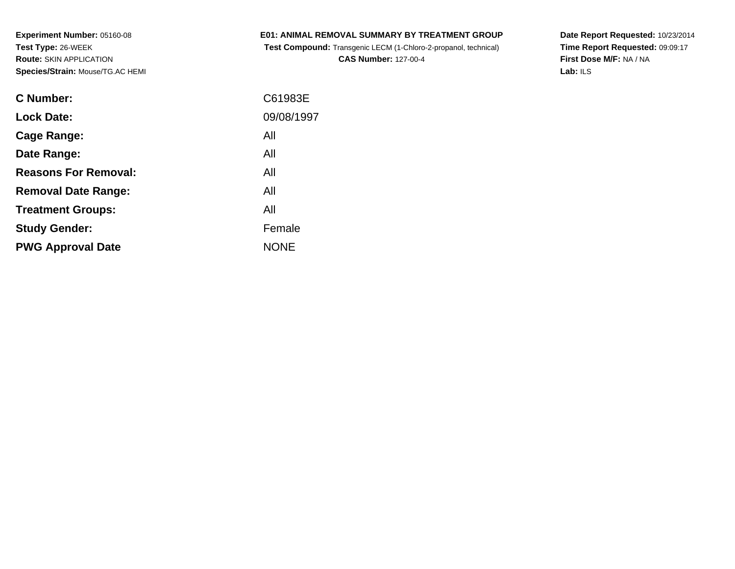**Experiment Number:** 05160-08**Test Type:** 26-WEEK **Route:** SKIN APPLICATION**Species/Strain:** Mouse/TG.AC HEMI

|  | <b>E01: ANIMAL REMOVAL SUMMARY BY TREATMENT GROUP</b> |  |  |  |  |  |  |
|--|-------------------------------------------------------|--|--|--|--|--|--|
|--|-------------------------------------------------------|--|--|--|--|--|--|

 **Test Compound:** Transgenic LECM (1-Chloro-2-propanol, technical)**CAS Number:** 127-00-4

**Date Report Requested:** 10/23/2014 **Time Report Requested:** 09:09:17**First Dose M/F:** NA / NA**Lab:** ILS

| C61983E     |
|-------------|
| 09/08/1997  |
| All         |
| All         |
| All         |
| All         |
| All         |
| Female      |
| <b>NONE</b> |
|             |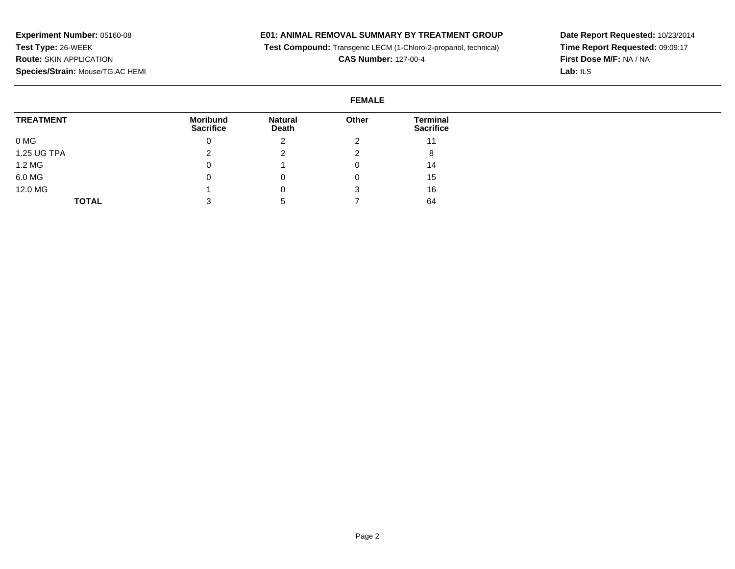**E01: ANIMAL REMOVAL SUMMARY BY TREATMENT GROUP**

**Test Compound:** Transgenic LECM (1-Chloro-2-propanol, technical)

**CAS Number:** 127-00-4

**Date Report Requested:** 10/23/2014 **Time Report Requested:** 09:09:17**First Dose M/F:** NA / NA**Lab:** ILS

## **FEMALE**

| <b>TREATMENT</b><br><b>Moribund</b><br><b>Sacrifice</b> |       | <b>Natural</b> | Other            | Terminal |
|---------------------------------------------------------|-------|----------------|------------------|----------|
|                                                         | Death |                | <b>Sacrifice</b> |          |
| 0 MG                                                    | 0     | <u>.</u>       |                  | 11       |
| 1.25 UG TPA                                             |       |                |                  | 8        |
| 1.2 MG                                                  | 0     |                |                  | 14       |
| 6.0 MG                                                  | 0     |                |                  | 15       |
| 12.0 MG                                                 |       |                | J                | 16       |
| <b>TOTAL</b>                                            | 3     | $\mathbf{D}$   |                  | 64       |

**Experiment Number:** 05160-08**Test Type:** 26-WEEK **Route:** SKIN APPLICATION**Species/Strain:** Mouse/TG.AC HEMI